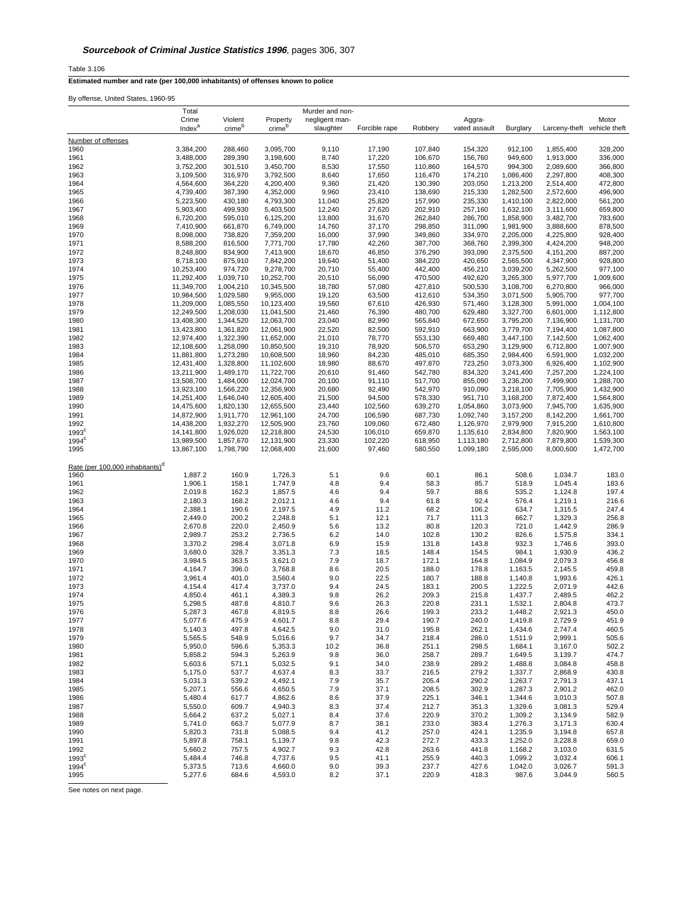Table 3.106

**Estimated number and rate (per 100,000 inhabitants) of offenses known to police**

By offense, United States, 1960-95

|                                             | Total                    |                        |                          | Murder and non-  |                    |                    |                        |                        |                             |                        |
|---------------------------------------------|--------------------------|------------------------|--------------------------|------------------|--------------------|--------------------|------------------------|------------------------|-----------------------------|------------------------|
|                                             | Crime                    | Violent                | Property                 | negligent man-   |                    |                    | Aggra-                 |                        |                             | Motor                  |
|                                             | Index <sup>a</sup>       | crime <sup>b</sup>     | crime <sup>b</sup>       | slaughter        | Forcible rape      | Robbery            | vated assault          | Burglary               | Larceny-theft vehicle theft |                        |
| Number of offenses                          |                          |                        |                          |                  |                    |                    |                        |                        |                             |                        |
| 1960                                        | 3,384,200                | 288,460                | 3,095,700                | 9,110            | 17,190             | 107,840            | 154,320                | 912,100                | 1,855,400                   | 328,200                |
| 1961<br>1962                                | 3,488,000<br>3.752.200   | 289,390<br>301,510     | 3,198,600<br>3,450,700   | 8,740<br>8,530   | 17,220<br>17,550   | 106,670<br>110,860 | 156,760<br>164,570     | 949,600<br>994.300     | 1,913,000<br>2,089,600      | 336,000<br>366,800     |
| 1963                                        | 3,109,500                | 316,970                | 3,792,500                | 8,640            | 17,650             | 116,470            | 174,210                | 1,086,400              | 2,297,800                   | 408,300                |
| 1964                                        | 4,564,600                | 364,220                | 4,200,400                | 9,360            | 21,420             | 130,390            | 203,050                | 1,213,200              | 2,514,400                   | 472,800                |
| 1965                                        | 4,739,400                | 387,390                | 4,352,000                | 9,960            | 23,410             | 138,690            | 215,330                | 1,282,500              | 2,572,600                   | 496,900                |
| 1966                                        | 5,223,500                | 430,180                | 4,793,300                | 11,040           | 25,820             | 157,990            | 235,330                | 1,410,100              | 2,822,000                   | 561,200                |
| 1967                                        | 5,903,400                | 499,930                | 5,403,500                | 12,240           | 27,620             | 202,910            | 257,160                | 1,632,100              | 3,111,600                   | 659,800                |
| 1968<br>1969                                | 6,720,200<br>7,410,900   | 595,010<br>661,870     | 6,125,200<br>6,749,000   | 13,800<br>14,760 | 31,670<br>37,170   | 262,840<br>298,850 | 286,700<br>311,090     | 1,858,900<br>1,981,900 | 3,482,700<br>3,888,600      | 783,600<br>878,500     |
| 1970                                        | 8,098,000                | 738,820                | 7,359,200                | 16,000           | 37,990             | 349.860            | 334,970                | 2,205,000              | 4,225,800                   | 928,400                |
| 1971                                        | 8,588,200                | 816,500                | 7,771,700                | 17,780           | 42,260             | 387,700            | 368,760                | 2,399,300              | 4,424,200                   | 948,200                |
| 1972                                        | 8,248,800                | 834,900                | 7,413,900                | 18,670           | 46,850             | 376,290            | 393,090                | 2,375,500              | 4,151,200                   | 887,200                |
| 1973                                        | 8,718,100                | 875,910                | 7,842,200                | 19,640           | 51,400             | 384,220            | 420,650                | 2,565,500              | 4,347,900                   | 928,800                |
| 1974<br>1975                                | 10,253,400<br>11,292,400 | 974.720<br>1,039,710   | 9,278,700<br>10,252,700  | 20,710<br>20,510 | 55,400<br>56,090   | 442,400<br>470,500 | 456,210<br>492,620     | 3,039,200<br>3,265,300 | 5,262,500<br>5,977,700      | 977,100<br>1,009,600   |
| 1976                                        | 11,349,700               | 1,004,210              | 10,345,500               | 18,780           | 57,080             | 427,810            | 500,530                | 3,108,700              | 6,270,800                   | 966,000                |
| 1977                                        | 10,984,500               | 1,029,580              | 9,955,000                | 19,120           | 63,500             | 412,610            | 534,350                | 3,071,500              | 5,905,700                   | 977,700                |
| 1978                                        | 11,209,000               | 1,085,550              | 10,123,400               | 19,560           | 67,610             | 426,930            | 571,460                | 3,128,300              | 5,991,000                   | 1,004,100              |
| 1979                                        | 12,249,500               | 1,208,030              | 11,041,500               | 21,460           | 76,390             | 480,700            | 629,480                | 3,327,700              | 6,601,000                   | 1,112,800              |
| 1980<br>1981                                | 13,408,300               | 1,344,520<br>1,361,820 | 12,063,700               | 23,040<br>22,520 | 82,990             | 565,840<br>592,910 | 672,650<br>663,900     | 3,795,200              | 7,136,900                   | 1,131,700<br>1,087,800 |
| 1982                                        | 13,423,800<br>12,974,400 | 1.322.390              | 12,061,900<br>11,652,000 | 21,010           | 82,500<br>78,770   | 553,130            | 669,480                | 3,779,700<br>3.447.100 | 7,194,400<br>7,142,500      | 1,062,400              |
| 1983                                        | 12,108,600               | 1,258,090              | 10,850,500               | 19,310           | 78,920             | 506,570            | 653,290                | 3,129,900              | 6,712,800                   | 1,007,900              |
| 1984                                        | 11,881,800               | 1,273,280              | 10,608,500               | 18,960           | 84,230             | 485,010            | 685,350                | 2,984,400              | 6,591,900                   | 1,032,200              |
| 1985                                        | 12,431,400               | 1,328,800              | 11,102,600               | 18,980           | 88,670             | 497,870            | 723,250                | 3,073,300              | 6,926,400                   | 1,102,900              |
| 1986                                        | 13,211,900               | 1.489.170              | 11,722,700               | 20,610           | 91,460             | 542,780            | 834.320                | 3,241,400              | 7,257,200                   | 1,224,100              |
| 1987<br>1988                                | 13,508,700<br>13,923,100 | 1,484,000<br>1,566,220 | 12,024,700<br>12,356,900 | 20,100<br>20,680 | 91,110<br>92,490   | 517,700<br>542,970 | 855,090<br>910,090     | 3,236,200<br>3,218,100 | 7,499,900<br>7,705,900      | 1,288,700<br>1,432,900 |
| 1989                                        | 14,251,400               | 1,646,040              | 12,605,400               | 21,500           | 94,500             | 578,330            | 951,710                | 3,168,200              | 7,872,400                   | 1,564,800              |
| 1990                                        | 14,475,600               | 1,820,130              | 12,655,500               | 23,440           | 102,560            | 639,270            | 1,054,860              | 3.073.900              | 7.945.700                   | 1,635,900              |
| 1991                                        | 14,872,900               | 1,911,770              | 12,961,100               | 24,700           | 106,590            | 687,730            | 1,092,740              | 3,157,200              | 8,142,200                   | 1,661,700              |
| 1992                                        | 14,438,200               | 1,932,270              | 12,505,900               | 23,760           | 109,060            | 672,480            | 1,126,970              | 2,979,900              | 7,915,200                   | 1,610,800              |
| 1993 <sup>c</sup><br>$1994^c$               | 14,141,800<br>13,989,500 | 1,926,020<br>1,857,670 | 12,218,800<br>12,131,900 | 24,530<br>23,330 | 106,010<br>102,220 | 659,870<br>618,950 | 1,135,610<br>1,113,180 | 2,834,800<br>2,712,800 | 7,820,900<br>7,879,800      | 1,563,100<br>1,539,300 |
| 1995                                        | 13,867,100               | 1,798,790              | 12,068,400               | 21,600           | 97,460             | 580,550            | 1,099,180              | 2,595,000              | 8,000,600                   | 1,472,700              |
|                                             |                          |                        |                          |                  |                    |                    |                        |                        |                             |                        |
| Rate (per 100,000 inhabitants) <sup>d</sup> |                          |                        |                          |                  |                    |                    |                        |                        |                             |                        |
| 1960                                        | 1,887.2                  | 160.9                  | 1,726.3                  | 5.1              | 9.6                | 60.1               | 86.1                   | 508.6                  | 1,034.7                     | 183.0                  |
| 1961                                        | 1,906.1                  | 158.1<br>162.3         | 1,747.9                  | 4.8<br>4.6       | 9.4<br>9.4         | 58.3<br>59.7       | 85.7<br>88.6           | 518.9<br>535.2         | 1,045.4                     | 183.6<br>197.4         |
| 1962<br>1963                                | 2,019.8<br>2,180.3       | 168.2                  | 1,857.5<br>2,012.1       | 4.6              | 9.4                | 61.8               | 92.4                   | 576.4                  | 1,124.8<br>1,219.1          | 216.6                  |
| 1964                                        | 2,388.1                  | 190.6                  | 2,197.5                  | 4.9              | 11.2               | 68.2               | 106.2                  | 634.7                  | 1,315.5                     | 247.4                  |
| 1965                                        | 2,449.0                  | 200.2                  | 2,248.8                  | 5.1              | 12.1               | 71.7               | 111.3                  | 662.7                  | 1,329.3                     | 256.8                  |
| 1966                                        | 2,670.8                  | 220.0                  | 2,450.9                  | 5.6              | 13.2               | 80.8               | 120.3                  | 721.0                  | 1,442.9                     | 286.9                  |
| 1967                                        | 2,989.7                  | 253.2                  | 2,736.5                  | 6.2              | 14.0               | 102.8              | 130.2                  | 826.6                  | 1,575.8                     | 334.1                  |
| 1968<br>1969                                | 3,370.2<br>3,680.0       | 298.4<br>328.7         | 3,071.8<br>3,351.3       | 6.9<br>7.3       | 15.9<br>18.5       | 131.8<br>148.4     | 143.8<br>154.5         | 932.3<br>984.1         | 1,746.6<br>1,930.9          | 393.0<br>436.2         |
| 1970                                        | 3,984.5                  | 363.5                  | 3,621.0                  | 7.9              | 18.7               | 172.1              | 164.8                  | 1,084.9                | 2,079.3                     | 456.8                  |
| 1971                                        | 4,164.7                  | 396.0                  | 3,768.8                  | 8.6              | 20.5               | 188.0              | 178.8                  | 1,163.5                | 2,145.5                     | 459.8                  |
| 1972                                        | 3,961.4                  | 401.0                  | 3,560.4                  | 9.0              | 22.5               | 180.7              | 188.8                  | 1,140.8                | 1,993.6                     | 426.1                  |
| 1973                                        | 4,154.4                  | 417.4                  | 3,737.0                  | 9.4              | 24.5               | 183.1              | 200.5                  | 1,222.5                | 2,071.9                     | 442.6                  |
| 1974<br>1975                                | 4,850.4<br>5,298.5       | 461.1<br>487.8         | 4,389.3<br>4,810.7       | 9.8<br>9.6       | 26.2<br>26.3       | 209.3<br>220.8     | 215.8<br>231.1         | 1,437.7<br>1,532.1     | 2,489.5<br>2,804.8          | 462.2<br>473.7         |
| 1976                                        | 5,287.3                  | 467.8                  | 4,819.5                  | 8.8              | 26.6               | 199.3              | 233.2                  | 1,448.2                | 2,921.3                     | 450.0                  |
| 1977                                        | 5,077.6                  | 475.9                  | 4,601.7                  | 8.8              | 29.4               | 190.7              | 240.0                  | 1,419.8                | 2,729.9                     | 451.9                  |
| 1978                                        | 5,140.3                  | 497.8                  | 4,642.5                  | 9.0              | 31.0               | 195.8              | 262.1                  | 1,434.6                | 2,747.4                     | 460.5                  |
| 1979                                        | 5,565.5                  | 548.9                  | 5,016.6                  | 9.7              | 34.7               | 218.4              | 286.0                  | 1,511.9                | 2,999.1                     | 505.6                  |
| 1980<br>1981                                | 5,950.0<br>5,858.2       | 596.6<br>594.3         | 5,353.3<br>5,263.9       | 10.2<br>9.8      | 36.8<br>36.0       | 251.1<br>258.7     | 298.5<br>289.7         | 1,684.1<br>1,649.5     | 3,167.0<br>3,139.7          | 502.2<br>474.7         |
| 1982                                        | 5,603.6                  | 571.1                  | 5,032.5                  | 9.1              | 34.0               | 238.9              | 289.2                  | 1,488.8                | 3,084.8                     | 458.8                  |
| 1983                                        | 5,175.0                  | 537.7                  | 4,637.4                  | 8.3              | 33.7               | 216.5              | 279.2                  | 1,337.7                | 2,868.9                     | 430.8                  |
| 1984                                        | 5,031.3                  | 539.2                  | 4,492.1                  | 7.9              | 35.7               | 205.4              | 290.2                  | 1,263.7                | 2,791.3                     | 437.1                  |
| 1985                                        | 5,207.1                  | 556.6                  | 4,650.5                  | 7.9              | 37.1               | 208.5              | 302.9                  | 1,287.3                | 2,901.2                     | 462.0                  |
| 1986                                        | 5,480.4                  | 617.7                  | 4,862.6                  | 8.6              | 37.9               | 225.1              | 346.1                  | 1,344.6                | 3,010.3                     | 507.8                  |
| 1987<br>1988                                | 5,550.0<br>5,664.2       | 609.7<br>637.2         | 4,940.3<br>5,027.1       | 8.3<br>8.4       | 37.4<br>37.6       | 212.7<br>220.9     | 351.3<br>370.2         | 1,329.6<br>1,309.2     | 3,081.3<br>3,134.9          | 529.4<br>582.9         |
| 1989                                        | 5,741.0                  | 663.7                  | 5,077.9                  | 8.7              | 38.1               | 233.0              | 383.4                  | 1,276.3                | 3,171.3                     | 630.4                  |
| 1990                                        | 5,820.3                  | 731.8                  | 5,088.5                  | 9.4              | 41.2               | 257.0              | 424.1                  | 1,235.9                | 3,194.8                     | 657.8                  |
| 1991                                        | 5,897.8                  | 758.1                  | 5,139.7                  | 9.8              | 42.3               | 272.7              | 433.3                  | 1,252.0                | 3,228.8                     | 659.0                  |
| 1992                                        | 5,660.2                  | 757.5                  | 4,902.7                  | 9.3              | 42.8               | 263.6              | 441.8                  | 1,168.2                | 3,103.0                     | 631.5                  |
| 1993 <sup>c</sup><br>$1994^c$               | 5,484.4<br>5,373.5       | 746.8<br>713.6         | 4,737.6<br>4,660.0       | 9.5<br>9.0       | 41.1<br>39.3       | 255.9<br>237.7     | 440.3<br>427.6         | 1,099.2<br>1,042.0     | 3,032.4<br>3,026.7          | 606.1<br>591.3         |
| 1995                                        | 5,277.6                  | 684.6                  | 4,593.0                  | 8.2              | 37.1               | 220.9              | 418.3                  | 987.6                  | 3,044.9                     | 560.5                  |
|                                             |                          |                        |                          |                  |                    |                    |                        |                        |                             |                        |

See notes on next page.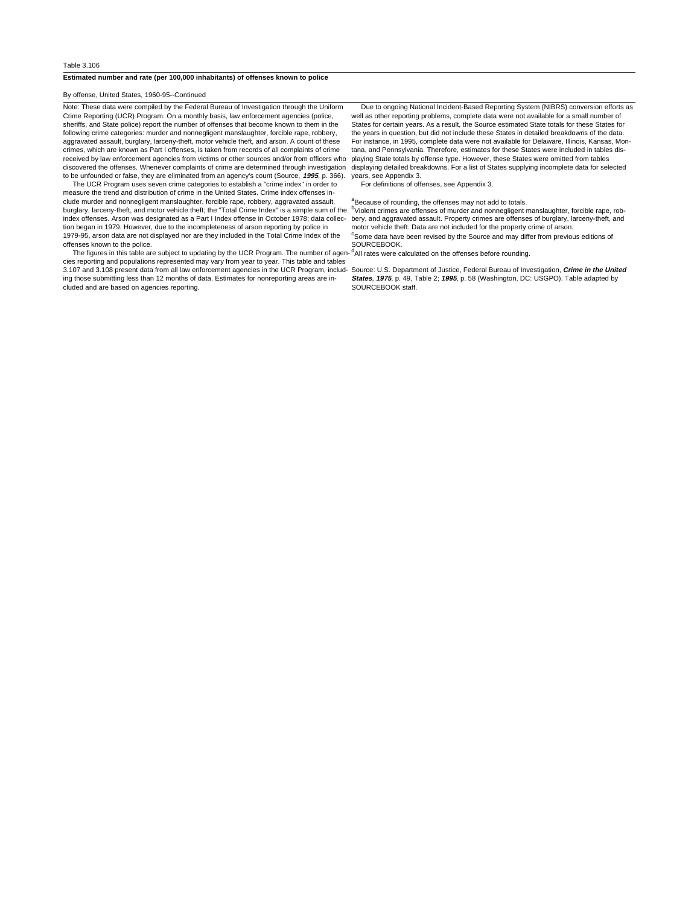## **Estimated number and rate (per 100,000 inhabitants) of offenses known to police**

By offense, United States, 1960-95--Continued

Note: These data were compiled by the Federal Bureau of Investigation through the Uniform Crime Reporting (UCR) Program. On a monthly basis, law enforcement agencies (police, sheriffs, and State police) report the number of offenses that become known to them in the following crime categories: murder and nonnegligent manslaughter, forcible rape, robbery, aggravated assault, burglary, larceny-theft, motor vehicle theft, and arson. A count of these crimes, which are known as Part I offenses, is taken from records of all complaints of crime received by law enforcement agencies from victims or other sources and/or from officers who playing State totals by offense type. However, these States were omitted from tables discovered the offenses. Whenever complaints of crime are determined through investigation displaying detailed breakdowns. For a list of States supplying incomplete data for selected to be unfounded or false, they are eliminated from an agency's count (Source, **1995**, p. 366).

 The UCR Program uses seven crime categories to establish a "crime index" in order to measure the trend and distribution of crime in the United States. Crime index offenses include murder and nonnegligent manslaughter, forcible rape, robbery, aggravated assault, burglary, larceny-theft, and motor vehicle theft; the "Total Crime Index" is a simple sum of the index offenses. Arson was designated as a Part I Index offense in October 1978; data collec- bery, and aggravated assault. Property crimes are offenses of burglary, larceny-theft, and tion began in 1979. However, due to the incompleteness of arson reporting by police in 1979-95, arson data are not displayed nor are they included in the Total Crime Index of the offenses known to the police.

 The figures in this table are subject to updating by the UCR Program. The number of agencies reporting and populations represented may vary from year to year. This table and tables 3.107 and 3.108 present data from all law enforcement agencies in the UCR Program, includ-Source: U.S. Department of Justice, Federal Bureau of Investigation, **Crime in the United** ing those submitting less than 12 months of data. Estimates for nonreporting areas are included and are based on agencies reporting.

 Due to ongoing National Incident-Based Reporting System (NIBRS) conversion efforts as well as other reporting problems, complete data were not available for a small number of States for certain years. As a result, the Source estimated State totals for these States for the years in question, but did not include these States in detailed breakdowns of the data. For instance, in 1995, complete data were not available for Delaware, Illinois, Kansas, Montana, and Pennsylvania. Therefore, estimates for these States were included in tables disyears, see Appendix 3.

For definitions of offenses, see Appendix 3.

## <sup>a</sup>Because of rounding, the offenses may not add to totals.

b<br>Violent crimes are offenses of murder and nonnegligent manslaughter, forcible rape, robmotor vehicle theft. Data are not included for the property crime of arson. <sup>c</sup>Some data have been revised by the Source and may differ from previous editions of

SOURCEBOOK.

<sup>d</sup>All rates were calculated on the offenses before rounding.

**States**, **1975**, p. 49, Table 2; **1995**, p. 58 (Washington, DC: USGPO). Table adapted by SOURCEBOOK staff.